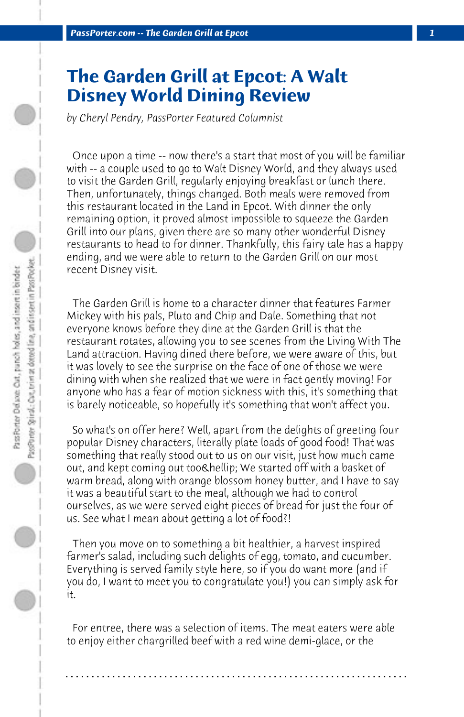## **The Garden Grill at Epcot: A Walt Disney World Dining Review**

*by Cheryl Pendry, PassPorter Featured Columnist*

 Once upon a time -- now there's a start that most of you will be familiar with -- a couple used to go to Walt Disney World, and they always used to visit the Garden Grill, regularly enjoying breakfast or lunch there. Then, unfortunately, things changed. Both meals were removed from this restaurant located in the Land in Epcot. With dinner the only remaining option, it proved almost impossible to squeeze the Garden Grill into our plans, given there are so many other wonderful Disney restaurants to head to for dinner. Thankfully, this fairy tale has a happy ending, and we were able to return to the Garden Grill on our most recent Disney visit.

 The Garden Grill is home to a character dinner that features Farmer Mickey with his pals, Pluto and Chip and Dale. Something that not everyone knows before they dine at the Garden Grill is that the restaurant rotates, allowing you to see scenes from the Living With The Land attraction. Having dined there before, we were aware of this, but it was lovely to see the surprise on the face of one of those we were dining with when she realized that we were in fact gently moving! For anyone who has a fear of motion sickness with this, it's something that is barely noticeable, so hopefully it's something that won't affect you.

 So what's on offer here? Well, apart from the delights of greeting four popular Disney characters, literally plate loads of good food! That was something that really stood out to us on our visit, just how much came out, and kept coming out too… We started off with a basket of warm bread, along with orange blossom honey butter, and I have to say it was a beautiful start to the meal, although we had to control ourselves, as we were served eight pieces of bread for just the four of us. See what I mean about getting a lot of food?!

 Then you move on to something a bit healthier, a harvest inspired farmer's salad, including such delights of egg, tomato, and cucumber. Everything is served family style here, so if you do want more (and if you do, I want to meet you to congratulate you!) you can simply ask for it.

 For entree, there was a selection of items. The meat eaters were able to enjoy either chargrilled beef with a red wine demi-glace, or the

**. . . . . . . . . . . . . . . . . . . . . . . . . . . . . . . . . . . . . . . . . . . . . . . . . . . . . . . . . . . . . . . . . .**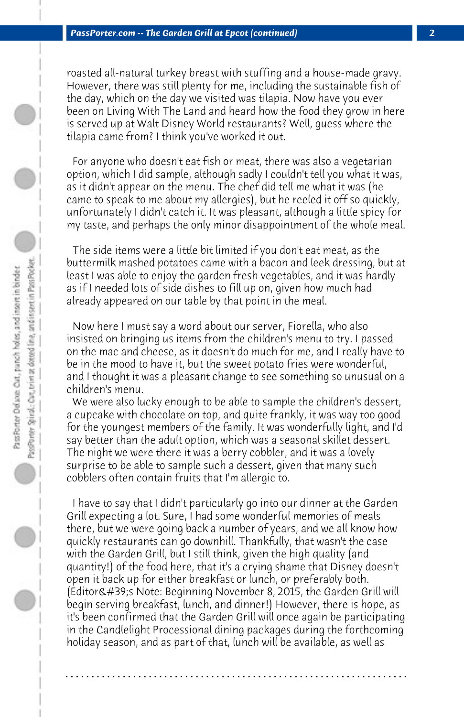roasted all-natural turkey breast with stuffing and a house-made gravy. However, there was still plenty for me, including the sustainable fish of the day, which on the day we visited was tilapia. Now have you ever been on Living With The Land and heard how the food they grow in here is served up at Walt Disney World restaurants? Well, guess where the tilapia came from? I think you've worked it out.

 For anyone who doesn't eat fish or meat, there was also a vegetarian option, which I did sample, although sadly I couldn't tell you what it was, as it didn't appear on the menu. The chef did tell me what it was (he came to speak to me about my allergies), but he reeled it off so quickly, unfortunately I didn't catch it. It was pleasant, although a little spicy for my taste, and perhaps the only minor disappointment of the whole meal.

 The side items were a little bit limited if you don't eat meat, as the buttermilk mashed potatoes came with a bacon and leek dressing, but at least I was able to enjoy the garden fresh vegetables, and it was hardly as if I needed lots of side dishes to fill up on, given how much had already appeared on our table by that point in the meal.

 Now here I must say a word about our server, Fiorella, who also insisted on bringing us items from the children's menu to try. I passed on the mac and cheese, as it doesn't do much for me, and I really have to be in the mood to have it, but the sweet potato fries were wonderful, and I thought it was a pleasant change to see something so unusual on a children's menu.

 We were also lucky enough to be able to sample the children's dessert, a cupcake with chocolate on top, and quite frankly, it was way too good for the youngest members of the family. It was wonderfully light, and I'd say better than the adult option, which was a seasonal skillet dessert. The night we were there it was a berry cobbler, and it was a lovely surprise to be able to sample such a dessert, given that many such cobblers often contain fruits that I'm allergic to.

 I have to say that I didn't particularly go into our dinner at the Garden Grill expecting a lot. Sure, I had some wonderful memories of meals there, but we were going back a number of years, and we all know how quickly restaurants can go downhill. Thankfully, that wasn't the case with the Garden Grill, but I still think, given the high quality (and quantity!) of the food here, that it's a crying shame that Disney doesn't open it back up for either breakfast or lunch, or preferably both. (Editor's Note: Beginning November 8, 2015, the Garden Grill will begin serving breakfast, lunch, and dinner!) However, there is hope, as it's been confirmed that the Garden Grill will once again be participating in the Candlelight Processional dining packages during the forthcoming holiday season, and as part of that, lunch will be available, as well as

**. . . . . . . . . . . . . . . . . . . . . . . . . . . . . . . . . . . . . . . . . . . . . . . . . . . . . . . . . . . . . . . . . .**